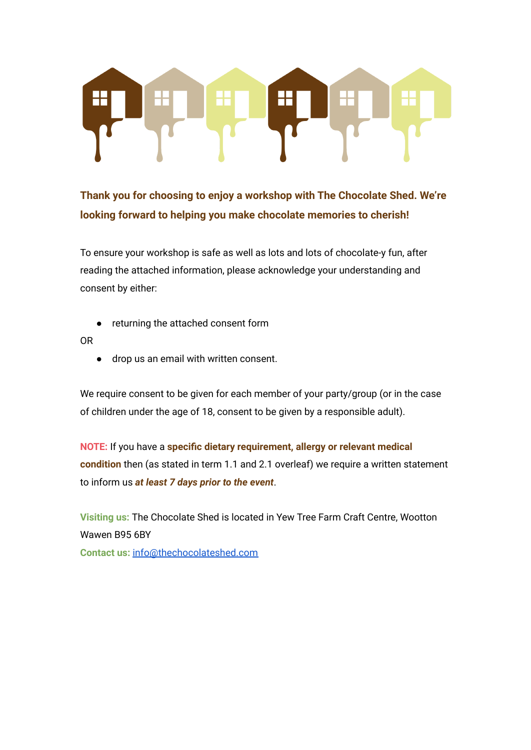

**Thank you for choosing to enjoy a workshop with The Chocolate Shed. We're looking forward to helping you make chocolate memories to cherish!**

To ensure your workshop is safe as well as lots and lots of chocolate-y fun, after reading the attached information, please acknowledge your understanding and consent by either:

returning the attached consent form

OR

● drop us an email with written consent.

We require consent to be given for each member of your party/group (or in the case of children under the age of 18, consent to be given by a responsible adult).

**NOTE:** If you have a **specific dietary requirement, allergy or relevant medical condition** then (as stated in term 1.1 and 2.1 overleaf) we require a written statement to inform us *at least 7 days prior to the event*.

**Visiting us:** The Chocolate Shed is located in Yew Tree Farm Craft Centre, Wootton Wawen B95 6BY

**Contact us:** [info@thechocolateshed.com](mailto:info@thechocolateshed.com)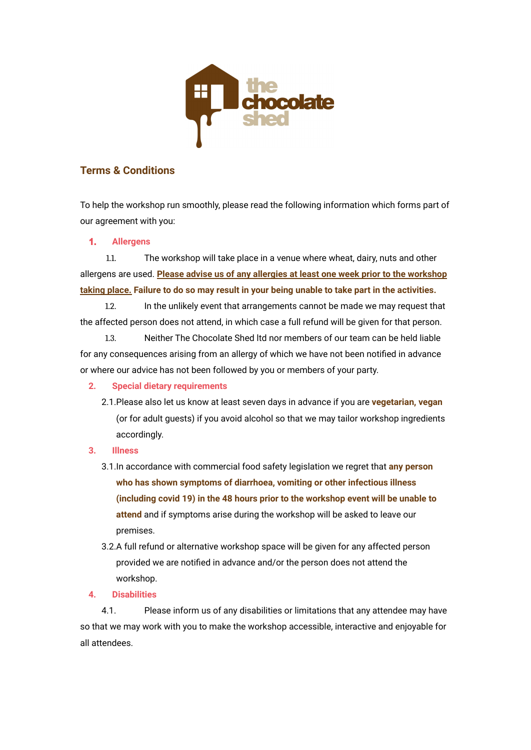

# **Terms & Conditions**

To help the workshop run smoothly, please read the following information which forms part of our agreement with you:

## **1. Allergens**

1.1. The workshop will take place in a venue where wheat, dairy, nuts and other allergens are used. **Please advise us of any allergies at least one week prior to the workshop taking place. Failure to do so may result in your being unable to take part in the activities.**

1.2. In the unlikely event that arrangements cannot be made we may request that the affected person does not attend, in which case a full refund will be given for that person.

1.3. Neither The Chocolate Shed ltd nor members of our team can be held liable for any consequences arising from an allergy of which we have not been notified in advance or where our advice has not been followed by you or members of your party.

## **2. Special dietary requirements**

- 2.1.Please also let us know at least seven days in advance if you are **vegetarian, vegan** (or for adult guests) if you avoid alcohol so that we may tailor workshop ingredients accordingly.
- **3. Illness**
	- 3.1.In accordance with commercial food safety legislation we regret that **any person who has shown symptoms of diarrhoea, vomiting or other infectious illness (including covid 19) in the 48 hours prior to the workshop event will be unable to attend** and if symptoms arise during the workshop will be asked to leave our premises.
	- 3.2.A full refund or alternative workshop space will be given for any affected person provided we are notified in advance and/or the person does not attend the workshop.

## **4. Disabilities**

4.1. Please inform us of any disabilities or limitations that any attendee may have so that we may work with you to make the workshop accessible, interactive and enjoyable for all attendees.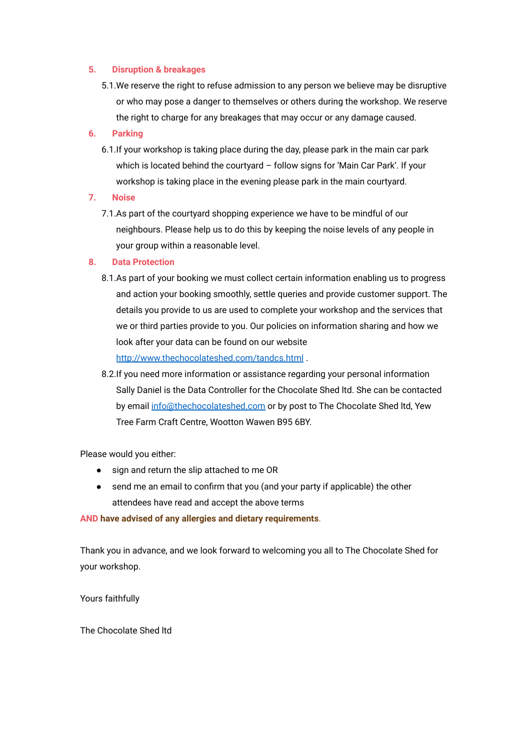#### **5. Disruption & breakages**

5.1.We reserve the right to refuse admission to any person we believe may be disruptive or who may pose a danger to themselves or others during the workshop. We reserve the right to charge for any breakages that may occur or any damage caused.

### **6. Parking**

- 6.1.If your workshop is taking place during the day, please park in the main car park which is located behind the courtyard – follow signs for 'Main Car Park'. If your workshop is taking place in the evening please park in the main courtyard.
- **7. Noise**
	- 7.1.As part of the courtyard shopping experience we have to be mindful of our neighbours. Please help us to do this by keeping the noise levels of any people in your group within a reasonable level.

#### **8. Data Protection**

- 8.1.As part of your booking we must collect certain information enabling us to progress and action your booking smoothly, settle queries and provide customer support. The details you provide to us are used to complete your workshop and the services that we or third parties provide to you. Our policies on information sharing and how we look after your data can be found on our website <http://www.thechocolateshed.com/tandcs.html> .
- 8.2.If you need more information or assistance regarding your personal information Sally Daniel is the Data Controller for the Chocolate Shed ltd. She can be contacted by email [info@thechocolateshed.com](mailto:info@thechocolateshed.com) or by post to The Chocolate Shed ltd, Yew Tree Farm Craft Centre, Wootton Wawen B95 6BY.

Please would you either:

- sign and return the slip attached to me OR
- send me an email to confirm that you (and your party if applicable) the other attendees have read and accept the above terms

#### **AND have advised of any allergies and dietary requirements**.

Thank you in advance, and we look forward to welcoming you all to The Chocolate Shed for your workshop.

Yours faithfully

The Chocolate Shed ltd